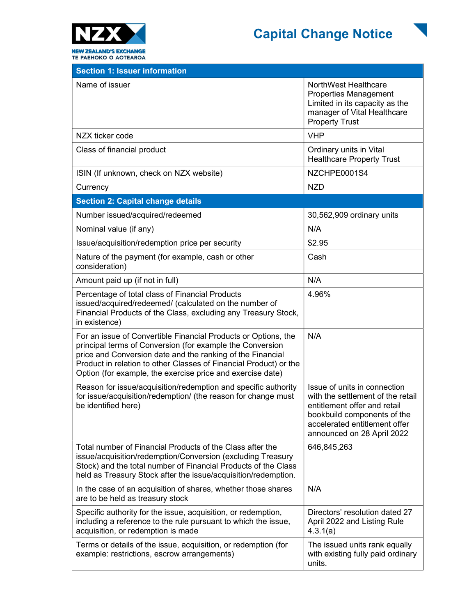



| NorthWest Healthcare<br><b>Properties Management</b><br>Limited in its capacity as the<br>manager of Vital Healthcare<br><b>Property Trust</b>                                                  |  |
|-------------------------------------------------------------------------------------------------------------------------------------------------------------------------------------------------|--|
| <b>VHP</b>                                                                                                                                                                                      |  |
| Ordinary units in Vital<br><b>Healthcare Property Trust</b>                                                                                                                                     |  |
| NZCHPE0001S4                                                                                                                                                                                    |  |
| <b>NZD</b>                                                                                                                                                                                      |  |
| <b>Section 2: Capital change details</b>                                                                                                                                                        |  |
| 30,562,909 ordinary units                                                                                                                                                                       |  |
| N/A                                                                                                                                                                                             |  |
| \$2.95                                                                                                                                                                                          |  |
| Cash                                                                                                                                                                                            |  |
| N/A                                                                                                                                                                                             |  |
| 4.96%                                                                                                                                                                                           |  |
| N/A                                                                                                                                                                                             |  |
| Issue of units in connection<br>with the settlement of the retail<br>entitlement offer and retail<br>bookbuild components of the<br>accelerated entitlement offer<br>announced on 28 April 2022 |  |
| 646,845,263                                                                                                                                                                                     |  |
| N/A                                                                                                                                                                                             |  |
| Directors' resolution dated 27<br>April 2022 and Listing Rule<br>4.3.1(a)                                                                                                                       |  |
| The issued units rank equally<br>with existing fully paid ordinary<br>units.                                                                                                                    |  |
|                                                                                                                                                                                                 |  |